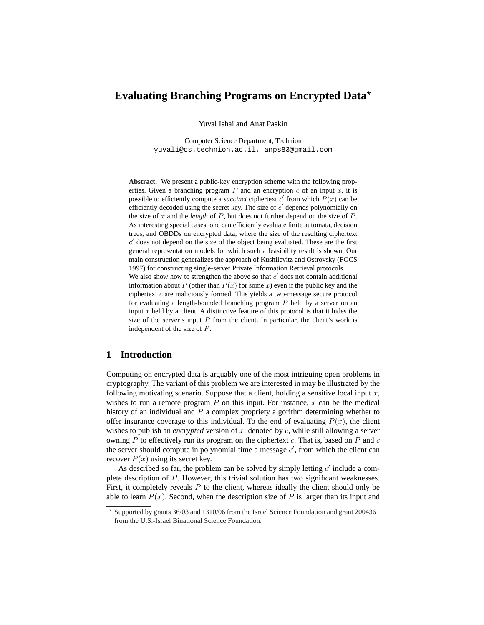# **Evaluating Branching Programs on Encrypted Data**?

Yuval Ishai and Anat Paskin

Computer Science Department, Technion yuvali@cs.technion.ac.il, anps83@gmail.com

**Abstract.** We present a public-key encryption scheme with the following properties. Given a branching program  $P$  and an encryption  $c$  of an input  $x$ , it is possible to efficiently compute a *succinct* ciphertext  $c'$  from which  $P(x)$  can be efficiently decoded using the secret key. The size of  $c'$  depends polynomially on the size of  $x$  and the *length* of  $P$ , but does not further depend on the size of  $P$ . As interesting special cases, one can efficiently evaluate finite automata, decision trees, and OBDDs on encrypted data, where the size of the resulting ciphertext  $c'$  does not depend on the size of the object being evaluated. These are the first general representation models for which such a feasibility result is shown. Our main construction generalizes the approach of Kushilevitz and Ostrovsky (FOCS 1997) for constructing single-server Private Information Retrieval protocols.

We also show how to strengthen the above so that  $c'$  does not contain additional information about P (other than  $P(x)$  for some x) even if the public key and the ciphertext c are maliciously formed. This yields a two-message secure protocol for evaluating a length-bounded branching program P held by a server on an input  $x$  held by a client. A distinctive feature of this protocol is that it hides the size of the server's input  $P$  from the client. In particular, the client's work is independent of the size of P.

# **1 Introduction**

Computing on encrypted data is arguably one of the most intriguing open problems in cryptography. The variant of this problem we are interested in may be illustrated by the following motivating scenario. Suppose that a client, holding a sensitive local input  $x$ , wishes to run a remote program  $P$  on this input. For instance,  $x$  can be the medical history of an individual and  $P$  a complex propriety algorithm determining whether to offer insurance coverage to this individual. To the end of evaluating  $P(x)$ , the client wishes to publish an *encrypted* version of x, denoted by c, while still allowing a server owning  $P$  to effectively run its program on the ciphertext  $c$ . That is, based on  $P$  and  $c$ the server should compute in polynomial time a message  $c'$ , from which the client can recover  $P(x)$  using its secret key.

As described so far, the problem can be solved by simply letting  $c'$  include a complete description of P. However, this trivial solution has two significant weaknesses. First, it completely reveals  $P$  to the client, whereas ideally the client should only be able to learn  $P(x)$ . Second, when the description size of P is larger than its input and

<sup>?</sup> Supported by grants 36/03 and 1310/06 from the Israel Science Foundation and grant 2004361 from the U.S.-Israel Binational Science Foundation.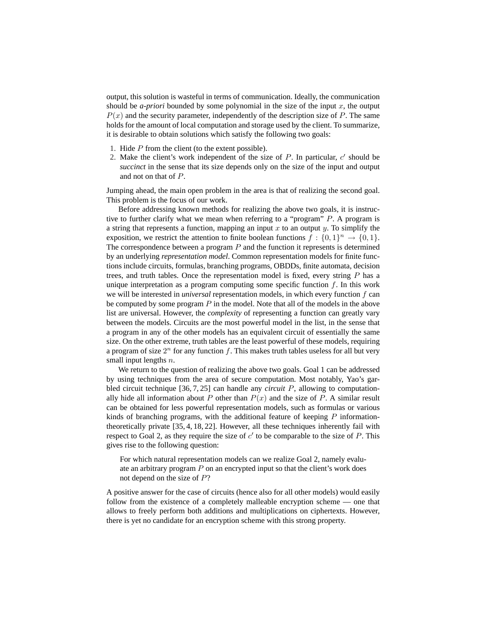output, this solution is wasteful in terms of communication. Ideally, the communication should be *a-priori* bounded by some polynomial in the size of the input  $x$ , the output  $P(x)$  and the security parameter, independently of the description size of P. The same holds for the amount of local computation and storage used by the client. To summarize, it is desirable to obtain solutions which satisfy the following two goals:

- 1. Hide P from the client (to the extent possible).
- 2. Make the client's work independent of the size of  $P$ . In particular,  $c'$  should be *succinct* in the sense that its size depends only on the size of the input and output and not on that of P.

Jumping ahead, the main open problem in the area is that of realizing the second goal. This problem is the focus of our work.

Before addressing known methods for realizing the above two goals, it is instructive to further clarify what we mean when referring to a "program" P. A program is a string that represents a function, mapping an input  $x$  to an output  $y$ . To simplify the exposition, we restrict the attention to finite boolean functions  $f: \{0,1\}^n \to \{0,1\}.$ The correspondence between a program  $P$  and the function it represents is determined by an underlying *representation model*. Common representation models for finite functions include circuits, formulas, branching programs, OBDDs, finite automata, decision trees, and truth tables. Once the representation model is fixed, every string P has a unique interpretation as a program computing some specific function  $f$ . In this work we will be interested in *universal* representation models, in which every function f can be computed by some program  $P$  in the model. Note that all of the models in the above list are universal. However, the *complexity* of representing a function can greatly vary between the models. Circuits are the most powerful model in the list, in the sense that a program in any of the other models has an equivalent circuit of essentially the same size. On the other extreme, truth tables are the least powerful of these models, requiring a program of size  $2^n$  for any function f. This makes truth tables useless for all but very small input lengths *n*.

We return to the question of realizing the above two goals. Goal 1 can be addressed by using techniques from the area of secure computation. Most notably, Yao's garbled circuit technique [36, 7, 25] can handle any *circuit P*, allowing to computationally hide all information about P other than  $P(x)$  and the size of P. A similar result can be obtained for less powerful representation models, such as formulas or various kinds of branching programs, with the additional feature of keeping  $P$  informationtheoretically private [35, 4, 18, 22]. However, all these techniques inherently fail with respect to Goal 2, as they require the size of  $c'$  to be comparable to the size of  $P$ . This gives rise to the following question:

For which natural representation models can we realize Goal 2, namely evaluate an arbitrary program  $P$  on an encrypted input so that the client's work does not depend on the size of P?

A positive answer for the case of circuits (hence also for all other models) would easily follow from the existence of a completely malleable encryption scheme — one that allows to freely perform both additions and multiplications on ciphertexts. However, there is yet no candidate for an encryption scheme with this strong property.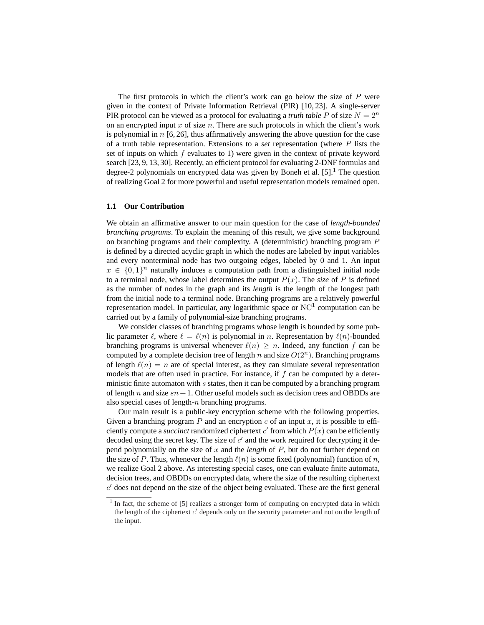The first protocols in which the client's work can go below the size of  $P$  were given in the context of Private Information Retrieval (PIR) [10, 23]. A single-server PIR protocol can be viewed as a protocol for evaluating a *truth table* P of size  $N = 2^n$ on an encrypted input x of size  $n$ . There are such protocols in which the client's work is polynomial in  $n$  [6, 26], thus affirmatively answering the above question for the case of a truth table representation. Extensions to a *set* representation (where P lists the set of inputs on which  $f$  evaluates to 1) were given in the context of private keyword search [23, 9, 13, 30]. Recently, an efficient protocol for evaluating 2-DNF formulas and degree-2 polynomials on encrypted data was given by Boneh et al.  $[5]$ .<sup>1</sup> The question of realizing Goal 2 for more powerful and useful representation models remained open.

## **1.1 Our Contribution**

We obtain an affirmative answer to our main question for the case of *length-bounded branching programs*. To explain the meaning of this result, we give some background on branching programs and their complexity. A (deterministic) branching program P is defined by a directed acyclic graph in which the nodes are labeled by input variables and every nonterminal node has two outgoing edges, labeled by 0 and 1. An input  $x \in \{0,1\}^n$  naturally induces a computation path from a distinguished initial node to a terminal node, whose label determines the output  $P(x)$ . The *size* of P is defined as the number of nodes in the graph and its *length* is the length of the longest path from the initial node to a terminal node. Branching programs are a relatively powerful representation model. In particular, any logarithmic space or  $NC<sup>1</sup>$  computation can be carried out by a family of polynomial-size branching programs.

We consider classes of branching programs whose length is bounded by some public parameter  $\ell$ , where  $\ell = \ell(n)$  is polynomial in n. Representation by  $\ell(n)$ -bounded branching programs is universal whenever  $\ell(n) \geq n$ . Indeed, any function f can be computed by a complete decision tree of length n and size  $O(2<sup>n</sup>)$ . Branching programs of length  $\ell(n) = n$  are of special interest, as they can simulate several representation models that are often used in practice. For instance, if  $f$  can be computed by a deterministic finite automaton with  $s$  states, then it can be computed by a branching program of length n and size  $sn + 1$ . Other useful models such as decision trees and OBDDs are also special cases of length- $n$  branching programs.

Our main result is a public-key encryption scheme with the following properties. Given a branching program  $P$  and an encryption  $c$  of an input  $x$ , it is possible to efficiently compute a *succinct* randomized ciphertext  $c'$  from which  $P(x)$  can be efficiently decoded using the secret key. The size of  $c'$  and the work required for decrypting it depend polynomially on the size of x and the *length* of P, but do not further depend on the size of P. Thus, whenever the length  $\ell(n)$  is some fixed (polynomial) function of n, we realize Goal 2 above. As interesting special cases, one can evaluate finite automata, decision trees, and OBDDs on encrypted data, where the size of the resulting ciphertext  $c'$  does not depend on the size of the object being evaluated. These are the first general

<sup>&</sup>lt;sup>1</sup> In fact, the scheme of [5] realizes a stronger form of computing on encrypted data in which the length of the ciphertext  $c'$  depends only on the security parameter and not on the length of the input.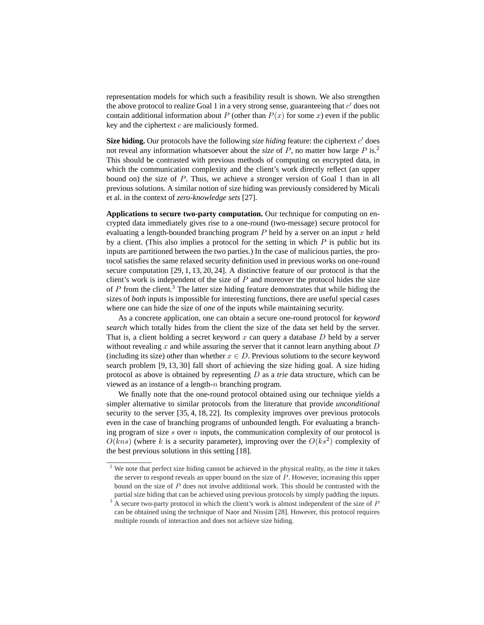representation models for which such a feasibility result is shown. We also strengthen the above protocol to realize Goal 1 in a very strong sense, guaranteeing that  $c'$  does not contain additional information about P (other than  $P(x)$  for some x) even if the public key and the ciphertext  $c$  are maliciously formed.

Size hiding. Our protocols have the following *size hiding* feature: the ciphertext c' does not reveal any information whatsoever about the *size* of P, no matter how large P is.<sup>2</sup> This should be contrasted with previous methods of computing on encrypted data, in which the communication complexity and the client's work directly reflect (an upper bound on) the size of P. Thus, we achieve a stronger version of Goal 1 than in all previous solutions. A similar notion of size hiding was previously considered by Micali et al. in the context of *zero-knowledge sets* [27].

**Applications to secure two-party computation.** Our technique for computing on encrypted data immediately gives rise to a one-round (two-message) secure protocol for evaluating a length-bounded branching program  $P$  held by a server on an input  $x$  held by a client. (This also implies a protocol for the setting in which  $P$  is public but its inputs are partitioned between the two parties.) In the case of malicious parties, the protocol satisfies the same relaxed security definition used in previous works on one-round secure computation [29, 1, 13, 20, 24]. A distinctive feature of our protocol is that the client's work is independent of the size of  $P$  and moreover the protocol hides the size of  $P$  from the client.<sup>3</sup> The latter size hiding feature demonstrates that while hiding the sizes of *both* inputs is impossible for interesting functions, there are useful special cases where one can hide the size of *one* of the inputs while maintaining security.

As a concrete application, one can obtain a secure one-round protocol for *keyword search* which totally hides from the client the size of the data set held by the server. That is, a client holding a secret keyword x can query a database  $D$  held by a server without revealing  $x$  and while assuring the server that it cannot learn anything about  $D$ (including its size) other than whether  $x \in D$ . Previous solutions to the secure keyword search problem [9, 13, 30] fall short of achieving the size hiding goal. A size hiding protocol as above is obtained by representing D as a *trie* data structure, which can be viewed as an instance of a length-n branching program.

We finally note that the one-round protocol obtained using our technique yields a simpler alternative to similar protocols from the literature that provide *unconditional* security to the server [35, 4, 18, 22]. Its complexity improves over previous protocols even in the case of branching programs of unbounded length. For evaluating a branching program of size  $s$  over  $n$  inputs, the communication complexity of our protocol is  $O(kns)$  (where k is a security parameter), improving over the  $O(ks^2)$  complexity of the best previous solutions in this setting [18].

<sup>2</sup> We note that perfect size hiding cannot be achieved in the physical reality, as the *time* it takes the server to respond reveals an upper bound on the size of P. However, increasing this upper bound on the size of P does not involve additional work. This should be contrasted with the partial size hiding that can be achieved using previous protocols by simply padding the inputs.

 $3\overline{)}$  A secure two-party protocol in which the client's work is almost independent of the size of  $P$ can be obtained using the technique of Naor and Nissim [28]. However, this protocol requires multiple rounds of interaction and does not achieve size hiding.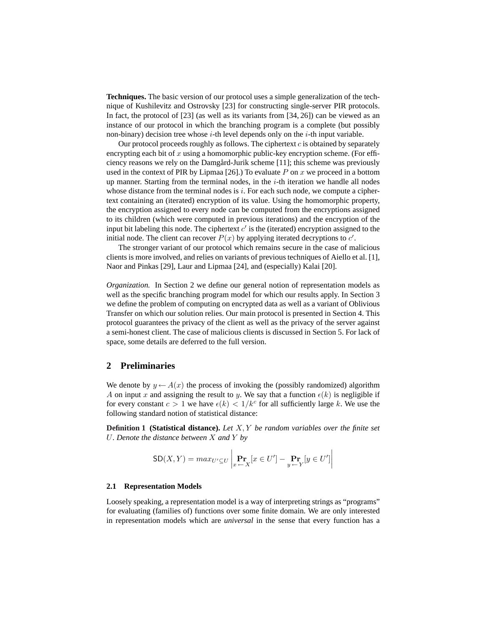**Techniques.** The basic version of our protocol uses a simple generalization of the technique of Kushilevitz and Ostrovsky [23] for constructing single-server PIR protocols. In fact, the protocol of  $[23]$  (as well as its variants from  $[34, 26]$ ) can be viewed as an instance of our protocol in which the branching program is a complete (but possibly non-binary) decision tree whose  $i$ -th level depends only on the  $i$ -th input variable.

Our protocol proceeds roughly as follows. The ciphertext  $c$  is obtained by separately encrypting each bit of  $x$  using a homomorphic public-key encryption scheme. (For efficiency reasons we rely on the Damgard-Jurik scheme  $[11]$ ; this scheme was previously used in the context of PIR by Lipmaa [26].) To evaluate P on x we proceed in a bottom up manner. Starting from the terminal nodes, in the  $i$ -th iteration we handle all nodes whose distance from the terminal nodes is  $i$ . For each such node, we compute a ciphertext containing an (iterated) encryption of its value. Using the homomorphic property, the encryption assigned to every node can be computed from the encryptions assigned to its children (which were computed in previous iterations) and the encryption of the input bit labeling this node. The ciphertext  $c'$  is the (iterated) encryption assigned to the initial node. The client can recover  $P(x)$  by applying iterated decryptions to  $c'$ .

The stronger variant of our protocol which remains secure in the case of malicious clients is more involved, and relies on variants of previous techniques of Aiello et al. [1], Naor and Pinkas [29], Laur and Lipmaa [24], and (especially) Kalai [20].

*Organization.* In Section 2 we define our general notion of representation models as well as the specific branching program model for which our results apply. In Section 3 we define the problem of computing on encrypted data as well as a variant of Oblivious Transfer on which our solution relies. Our main protocol is presented in Section 4. This protocol guarantees the privacy of the client as well as the privacy of the server against a semi-honest client. The case of malicious clients is discussed in Section 5. For lack of space, some details are deferred to the full version.

## **2 Preliminaries**

We denote by  $y \leftarrow A(x)$  the process of invoking the (possibly randomized) algorithm A on input x and assigning the result to y. We say that a function  $\epsilon(k)$  is negligible if for every constant  $c > 1$  we have  $\epsilon(k) < 1/k^c$  for all sufficiently large k. We use the following standard notion of statistical distance:

**Definition 1 (Statistical distance).** *Let* X, Y *be random variables over the finite set* U*. Denote the distance between* X *and* Y *by*

$$
\mathsf{SD}(X,Y) = \max_{U' \subseteq U} \left| \Pr_{x \leftarrow X} [x \in U'] - \Pr_{y \leftarrow Y} [y \in U'] \right|
$$

### **2.1 Representation Models**

Loosely speaking, a representation model is a way of interpreting strings as "programs" for evaluating (families of) functions over some finite domain. We are only interested in representation models which are *universal* in the sense that every function has a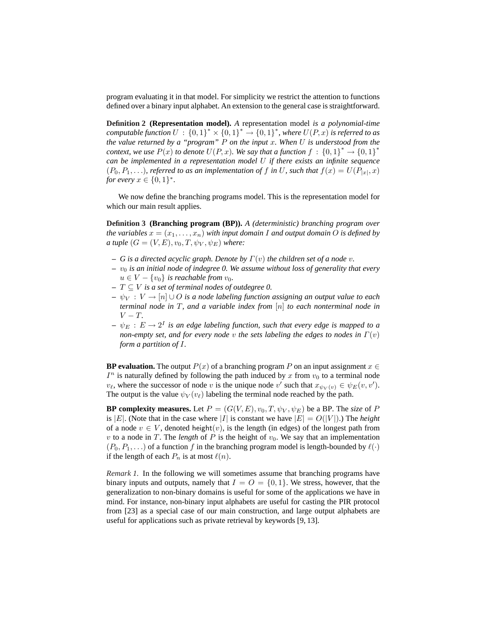program evaluating it in that model. For simplicity we restrict the attention to functions defined over a binary input alphabet. An extension to the general case is straightforward.

**Definition 2 (Representation model).** *A* representation model *is a polynomial-time computable function*  $U : \{0,1\}^* \times \{0,1\}^* \rightarrow \{0,1\}^*$ , where  $U(P, x)$  is referred to as *the value returned by a "program"* P *on the input* x*. When* U *is understood from the context, we use*  $P(x)$  *to denote*  $U(P, x)$ *. We say that a function*  $f : \{0,1\}^* \rightarrow \{0,1\}^*$ *can be implemented in a representation model* U *if there exists an infinite sequence*  $(P_0, P_1, \ldots)$ , referred to as an implementation of f in U, such that  $f(x) = U(P_{|x|}, x)$ *for every*  $x \in \{0,1\}^*$ .

We now define the branching programs model. This is the representation model for which our main result applies.

**Definition 3 (Branching program (BP)).** *A (deterministic) branching program over the variables*  $x = (x_1, \ldots, x_n)$  *with input domain* I *and output domain* O *is defined by a tuple*  $(G = (V, E), v_0, T, \psi_V, \psi_E)$  *where:* 

- **–** *G is a directed acyclic graph. Denote by* Γ(v) *the children set of a node* v*.*
- **–** v<sup>0</sup> *is an initial node of indegree 0. We assume without loss of generality that every*  $u \in V - \{v_0\}$  *is reachable from*  $v_0$ *.*
- **–** T ⊆ V *is a set of terminal nodes of outdegree 0.*
- $\psi$ <sub>V</sub> :  $V$  → [n] ∪ *O* is a node labeling function assigning an output value to each *terminal node in* T*, and a variable index from* [n] *to each nonterminal node in*  $V - T$ .
- $\psi_E$  :  $E \rightarrow 2^I$  is an edge labeling function, such that every edge is mapped to a *non-empty set, and for every node* v *the sets labeling the edges to nodes in* Γ(v) *form a partition of* I*.*

**BP evaluation.** The output  $P(x)$  of a branching program P on an input assignment  $x \in$  $I<sup>n</sup>$  is naturally defined by following the path induced by x from  $v<sub>0</sub>$  to a terminal node  $v_{\ell}$ , where the successor of node v is the unique node v' such that  $x_{\psi_V(v)} \in \psi_E(v, v')$ . The output is the value  $\psi_V(v_\ell)$  labeling the terminal node reached by the path.

**BP complexity measures.** Let  $P = (G(V, E), v_0, T, \psi_V, \psi_E)$  be a BP. The *size* of P is |E|. (Note that in the case where |I| is constant we have  $|E| = O(|V|)$ .) The *height* of a node  $v \in V$ , denoted height $(v)$ , is the length (in edges) of the longest path from  $v$  to a node in T. The *length* of P is the height of  $v_0$ . We say that an implementation  $(P_0, P_1, \ldots)$  of a function f in the branching program model is length-bounded by  $\ell(\cdot)$ if the length of each  $P_n$  is at most  $\ell(n)$ .

*Remark 1.* In the following we will sometimes assume that branching programs have binary inputs and outputs, namely that  $I = O = \{0, 1\}$ . We stress, however, that the generalization to non-binary domains is useful for some of the applications we have in mind. For instance, non-binary input alphabets are useful for casting the PIR protocol from [23] as a special case of our main construction, and large output alphabets are useful for applications such as private retrieval by keywords [9, 13].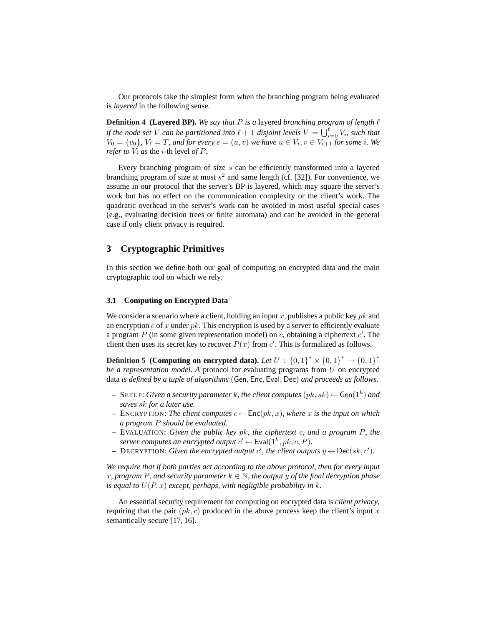Our protocols take the simplest form when the branching program being evaluated is *layered* in the following sense.

**Definition 4** (Layered BP). We say that  $P$  is a layered branching program of length  $\ell$ *if the node set V can be partitioned into*  $\ell + 1$  *disjoint levels*  $V = \bigcup_{i=0}^{\ell} V_i$ *, such that*  $V_0 = \{v_0\}$ ,  $V_\ell = T$ , and for every  $e = (u, v)$  we have  $u \in V_i$ ,  $v \in V_{i+1}$  for some *i*. We *refer to*  $V_i$  *as* the *i*-th level *of*  $P$ .

Every branching program of size  $s$  can be efficiently transformed into a layered branching program of size at most  $s^2$  and same length (cf. [32]). For convenience, we assume in our protocol that the server's BP is layered, which may square the server's work but has no effect on the communication complexity or the client's work. The quadratic overhead in the server's work can be avoided in most useful special cases (e.g., evaluating decision trees or finite automata) and can be avoided in the general case if only client privacy is required.

# **3 Cryptographic Primitives**

In this section we define both our goal of computing on encrypted data and the main cryptographic tool on which we rely.

#### **3.1 Computing on Encrypted Data**

We consider a scenario where a client, holding an input x, publishes a public key  $pk$  and an encryption  $c$  of  $x$  under  $pk$ . This encryption is used by a server to efficiently evaluate a program  $P$  (in some given representation model) on  $c$ , obtaining a ciphertext  $c'$ . The client then uses its secret key to recover  $P(x)$  from c'. This is formalized as follows.

**Definition 5** (Computing on encrypted data). Let  $U : \{0,1\}^* \times \{0,1\}^* \rightarrow \{0,1\}^*$ *be a representation model. A* protocol for evaluating programs from U on encrypted data *is defined by a tuple of algorithms* (Gen, Enc, Eval, Dec) *and proceeds as follows.*

- $-$  SETUP: *Given a security parameter k, the client computes*  $(pk, sk) \leftarrow$  Gen $(1^k)$  *and saves* sk *for a later use.*
- $-$  ENCRYPTION: *The client computes*  $c \leftarrow \text{Enc}(pk, x)$ *, where* x *is the input on which a program* P *should be evaluated.*
- **–** EVALUATION: *Given the public key* pk*, the ciphertext* c*, and a program* P*, the server computes an encrypted output*  $c' \leftarrow \text{Eval}(1^k, pk, c, P)$ *.*
- $\blacktriangleright$  DECRYPTION: *Given the encrypted output c'*, *the client outputs*  $y \leftarrow \mathsf{Dec}(sk, c')$ *.*

*We require that if both parties act according to the above protocol, then for every input* x, program P, and security parameter  $k \in \mathbb{N}$ , the output y of the final decryption phase *is equal to*  $U(P, x)$  *except, perhaps, with negligible probability in k.* 

An essential security requirement for computing on encrypted data is *client privacy*, requiring that the pair  $(pk, c)$  produced in the above process keep the client's input x semantically secure [17, 16].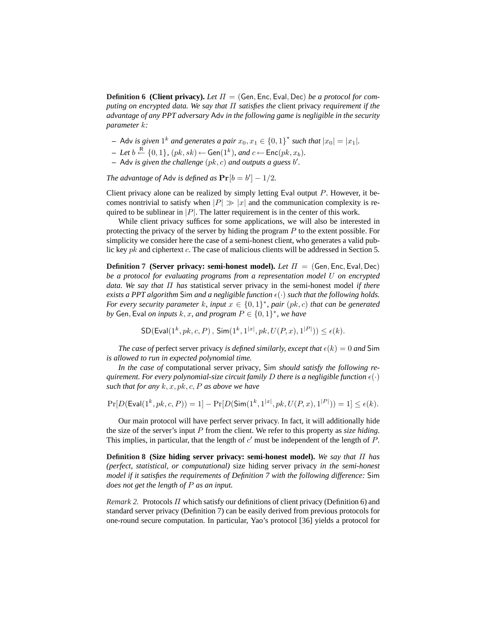**Definition 6** (Client privacy). Let  $\Pi = (Gen, Enc, eval, Dec)$  be a protocol for com*puting on encrypted data. We say that* Π *satisfies the* client privacy *requirement if the advantage of any PPT adversary* Adv *in the following game is negligible in the security parameter* k*:*

- $\blacktriangle$  Adv *is given* 1<sup>*k*</sup> *and generates a pair*  $x_0, x_1 \in \{0, 1\}^*$  *such that*  $|x_0| = |x_1|$ *.*
- $I \text{Let } b \stackrel{\mathsf{R}}{\leftarrow} \{0,1\}, \, (pk, sk) \leftarrow \textsf{Gen}(1^k), \, and \, c \leftarrow \textsf{Enc}(pk, x_b).$
- $-$  Adv *is given the challenge*  $(pk, c)$  *and outputs a guess b'.*

*The advantage of* Adv *is defined as*  $Pr[b = b'] - 1/2$ *.* 

Client privacy alone can be realized by simply letting Eval output P. However, it becomes nontrivial to satisfy when  $|P| \gg |x|$  and the communication complexity is required to be sublinear in  $|P|$ . The latter requirement is in the center of this work.

While client privacy suffices for some applications, we will also be interested in protecting the privacy of the server by hiding the program  $P$  to the extent possible. For simplicity we consider here the case of a semi-honest client, who generates a valid public key  $pk$  and ciphertext c. The case of malicious clients will be addressed in Section 5.

**Definition 7 (Server privacy: semi-honest model).** *Let*  $\Pi =$  **(Gen, Enc, Eval, Dec)** *be a protocol for evaluating programs from a representation model* U *on encrypted data. We say that* Π *has* statistical server privacy in the semi-honest model *if there exists a PPT algorithm* Sim *and a negligible function*  $\epsilon(\cdot)$  *such that the following holds. For every security parameter* k, input  $x \in \{0,1\}^*$ , pair  $(pk, c)$  *that can be generated by* Gen, Eval *on inputs*  $k, x$ , and program  $P \in \{0, 1\}^*$ , we have

$$
SD(Eval(1^k, pk, c, P), Sim(1^k, 1^{|x|}, pk, U(P, x), 1^{|P|})) \le \epsilon(k).
$$

*The case of* perfect server privacy *is defined similarly, except that*  $\epsilon(k) = 0$  *and* Sim *is allowed to run in expected polynomial time.*

*In the case of* computational server privacy*,* Sim *should satisfy the following requirement. For every polynomial-size circuit family* D *there is a negligible function*  $\epsilon(\cdot)$ *such that for any* k, x, pk, c, P *as above we have*

$$
\Pr[D(\mathsf{Eval}(1^k, pk, c, P)) = 1] - \Pr[D(\mathsf{Sim}(1^k, 1^{[x]}, pk, U(P, x), 1^{[P]})) = 1] \le \epsilon(k).
$$

Our main protocol will have perfect server privacy. In fact, it will additionally hide the size of the server's input P from the client. We refer to this property as *size hiding*. This implies, in particular, that the length of  $c'$  must be independent of the length of  $P$ .

**Definition 8 (Size hiding server privacy: semi-honest model).** *We say that* Π *has (perfect, statistical, or computational)* size hiding server privacy *in the semi-honest model if it satisfies the requirements of Definition 7 with the following difference:* Sim *does not get the length of* P *as an input.*

*Remark 2.* Protocols Π which satisfy our definitions of client privacy (Definition 6) and standard server privacy (Definition 7) can be easily derived from previous protocols for one-round secure computation. In particular, Yao's protocol [36] yields a protocol for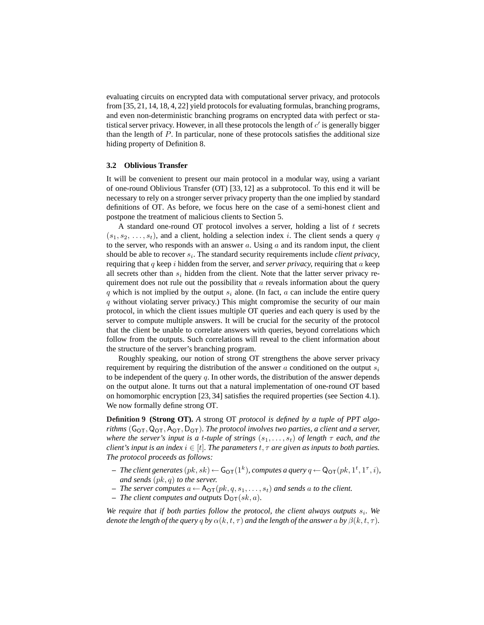evaluating circuits on encrypted data with computational server privacy, and protocols from [35, 21, 14, 18, 4, 22] yield protocols for evaluating formulas, branching programs, and even non-deterministic branching programs on encrypted data with perfect or statistical server privacy. However, in all these protocols the length of  $c'$  is generally bigger than the length of  $P$ . In particular, none of these protocols satisfies the additional size hiding property of Definition 8.

#### **3.2 Oblivious Transfer**

It will be convenient to present our main protocol in a modular way, using a variant of one-round Oblivious Transfer (OT) [33, 12] as a subprotocol. To this end it will be necessary to rely on a stronger server privacy property than the one implied by standard definitions of OT. As before, we focus here on the case of a semi-honest client and postpone the treatment of malicious clients to Section 5.

A standard one-round OT protocol involves a server, holding a list of  $t$  secrets  $(s_1, s_2, \ldots, s_t)$ , and a client, holding a selection index i. The client sends a query q to the server, who responds with an answer  $a$ . Using  $a$  and its random input, the client should be able to recover  $s_i$ . The standard security requirements include *client privacy*, requiring that q keep i hidden from the server, and *server privacy,* requiring that a keep all secrets other than  $s_i$  hidden from the client. Note that the latter server privacy requirement does not rule out the possibility that  $\alpha$  reveals information about the query q which is not implied by the output  $s_i$  alone. (In fact, a can include the entire query q without violating server privacy.) This might compromise the security of our main protocol, in which the client issues multiple OT queries and each query is used by the server to compute multiple answers. It will be crucial for the security of the protocol that the client be unable to correlate answers with queries, beyond correlations which follow from the outputs. Such correlations will reveal to the client information about the structure of the server's branching program.

Roughly speaking, our notion of strong OT strengthens the above server privacy requirement by requiring the distribution of the answer a conditioned on the output  $s_i$ to be independent of the query  $q$ . In other words, the distribution of the answer depends on the output alone. It turns out that a natural implementation of one-round OT based on homomorphic encryption [23, 34] satisfies the required properties (see Section 4.1). We now formally define strong OT.

**Definition 9 (Strong OT).** *A* strong OT *protocol is defined by a tuple of PPT algorithms*  $(G_{\text{OT}}, Q_{\text{OT}}, A_{\text{OT}}, D_{\text{OT}})$ *. The protocol involves two parties, a client and a server, where the server's input is a t-tuple of strings*  $(s_1, \ldots, s_t)$  *of length*  $\tau$  *each, and the client's input is an index*  $i \in [t]$ *. The parameters*  $t, \tau$  *are given as inputs to both parties. The protocol proceeds as follows:*

- $-$  The client generates  $(pk, sk) \leftarrow$   $\mathsf{G_{OT}}(1^k)$ , computes a query  $q \leftarrow \mathsf{Q_{OT}}(pk, 1^t, 1^{\tau}, i)$ , *and sends* (pk, q) *to the server.*
- *The server computes* $a \leftarrow A_{OT}(pk, q, s_1, \ldots, s_t)$ *and sends a to the client.*
- $\blacksquare$  *The client computes and outputs*  $D_{\text{OT}}(sk, a)$ *.*

We require that if both parties follow the protocol, the client always outputs  $s_i$ . We *denote the length of the query* q *by*  $\alpha(k, t, \tau)$  *and the length of the answer* a *by*  $\beta(k, t, \tau)$ *.*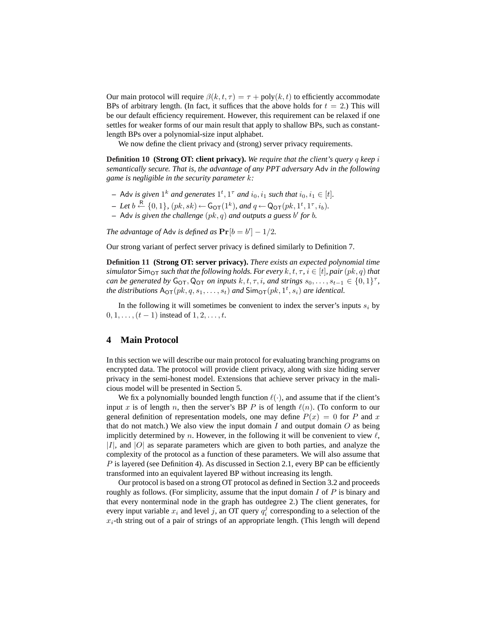Our main protocol will require  $\beta(k, t, \tau) = \tau + \text{poly}(k, t)$  to efficiently accommodate BPs of arbitrary length. (In fact, it suffices that the above holds for  $t = 2$ .) This will be our default efficiency requirement. However, this requirement can be relaxed if one settles for weaker forms of our main result that apply to shallow BPs, such as constantlength BPs over a polynomial-size input alphabet.

We now define the client privacy and (strong) server privacy requirements.

**Definition 10 (Strong OT: client privacy).** *We require that the client's query* q *keep* i *semantically secure. That is, the advantage of any PPT adversary* Adv *in the following game is negligible in the security parameter* k*:*

- $-$  Adv *is given*  $1^k$  *and generates*  $1^t, 1^\tau$  *and*  $i_0, i_1$  *such that*  $i_0, i_1 \in [t]$ *.*
- $\mathcal{L} = \text{Let } b \stackrel{\mathcal{R}}{\leftarrow} \{0,1\}, (pk, sk) \leftarrow \mathsf{G}_{\mathsf{OT}}(1^k)$ *, and*  $q \leftarrow \mathsf{Q}_{\mathsf{OT}}(pk, 1^t, 1^{\tau}, i_b)$ *.*
- $-$  Adv *is given the challenge*  $(pk, q)$  *and outputs a guess b' for b.*

*The advantage of* Adv *is defined as*  $Pr[b = b'] - 1/2$ *.* 

Our strong variant of perfect server privacy is defined similarly to Definition 7.

**Definition 11 (Strong OT: server privacy).** *There exists an expected polynomial time simulator*  $\mathsf{Sim}_{\mathsf{OT}}$  *such that the following holds. For every*  $k, t, \tau, i \in [t]$ *, pair*  $(pk, q)$  *that can be generated by*  $G_{\text{OT}}, Q_{\text{OT}}$  *on inputs*  $k, t, \tau, i$ *, and strings*  $s_0, \ldots, s_{t-1} \in \{0, 1\}^{\tau}$ *,* the distributions  $A_{\text{OT}}(pk, q, s_1, \ldots, s_t)$  and  $\text{Sim}_{\text{OT}}(pk, 1^t, s_i)$  are identical.

In the following it will sometimes be convenient to index the server's inputs  $s_i$  by  $0, 1, \ldots, (t-1)$  instead of  $1, 2, \ldots, t$ .

## **4 Main Protocol**

In this section we will describe our main protocol for evaluating branching programs on encrypted data. The protocol will provide client privacy, along with size hiding server privacy in the semi-honest model. Extensions that achieve server privacy in the malicious model will be presented in Section 5.

We fix a polynomially bounded length function  $\ell(\cdot)$ , and assume that if the client's input x is of length n, then the server's BP P is of length  $\ell(n)$ . (To conform to our general definition of representation models, one may define  $P(x) = 0$  for P and x that do not match.) We also view the input domain  $I$  and output domain  $O$  as being implicitly determined by n. However, in the following it will be convenient to view  $\ell$ ,  $|I|$ , and  $|O|$  as separate parameters which are given to both parties, and analyze the complexity of the protocol as a function of these parameters. We will also assume that P is layered (see Definition 4). As discussed in Section 2.1, every BP can be efficiently transformed into an equivalent layered BP without increasing its length.

Our protocol is based on a strong OT protocol as defined in Section 3.2 and proceeds roughly as follows. (For simplicity, assume that the input domain  $I$  of  $P$  is binary and that every nonterminal node in the graph has outdegree 2.) The client generates, for every input variable  $x_i$  and level j, an OT query  $q_i^j$  corresponding to a selection of the  $x_i$ -th string out of a pair of strings of an appropriate length. (This length will depend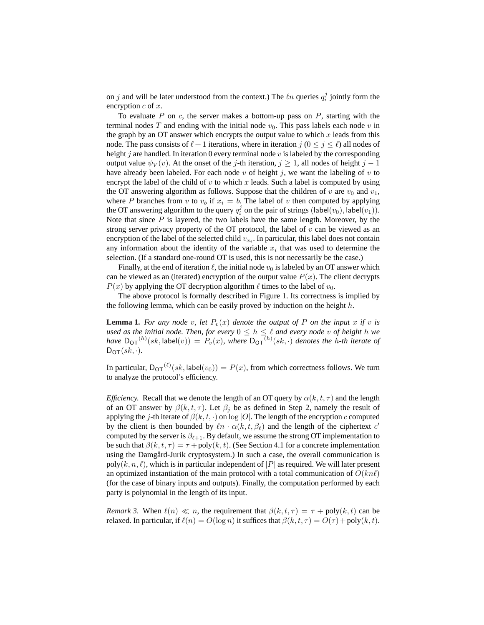on j and will be later understood from the context.) The  $\ell n$  queries  $q_i^j$  jointly form the encryption  $c$  of  $x$ .

To evaluate  $P$  on  $c$ , the server makes a bottom-up pass on  $P$ , starting with the terminal nodes T and ending with the initial node  $v_0$ . This pass labels each node v in the graph by an OT answer which encrypts the output value to which  $x$  leads from this node. The pass consists of  $\ell + 1$  iterations, where in iteration  $j$  ( $0 \le j \le \ell$ ) all nodes of height j are handled. In iteration 0 every terminal node v is labeled by the corresponding output value  $\psi_V(v)$ . At the onset of the j-th iteration,  $j \ge 1$ , all nodes of height  $j - 1$ have already been labeled. For each node v of height j, we want the labeling of v to encrypt the label of the child of  $v$  to which  $x$  leads. Such a label is computed by using the OT answering algorithm as follows. Suppose that the children of v are  $v_0$  and  $v_1$ , where P branches from v to  $v_b$  if  $x_i = b$ . The label of v then computed by applying the OT answering algorithm to the query  $q_i^j$  on the pair of strings (label(v<sub>0</sub>), label(v<sub>1</sub>)). Note that since  $P$  is layered, the two labels have the same length. Moreover, by the strong server privacy property of the OT protocol, the label of  $v$  can be viewed as an encryption of the label of the selected child  $v_{x_i}$ . In particular, this label does not contain any information about the identity of the variable  $x_i$  that was used to determine the selection. (If a standard one-round OT is used, this is not necessarily be the case.)

Finally, at the end of iteration  $\ell$ , the initial node  $v_0$  is labeled by an OT answer which can be viewed as an (iterated) encryption of the output value  $P(x)$ . The client decrypts  $P(x)$  by applying the OT decryption algorithm  $\ell$  times to the label of  $v_0$ .

The above protocol is formally described in Figure 1. Its correctness is implied by the following lemma, which can be easily proved by induction on the height  $h$ .

**Lemma 1.** For any node v, let  $P_v(x)$  denote the output of P on the input x if v is *used as the initial node. Then, for every*  $0 \leq h \leq \ell$  *and every node* v *of height* h *we have*  $D_{\text{OT}}^{(h)}(sk, \text{label}(v)) = P_v(x)$ , where  $D_{\text{OT}}^{(h)}(sk, \cdot)$  denotes the *h*-th iterate of  $D_{\text{OT}}(sk, \cdot)$ .

In particular,  $D_{\text{OT}}^{(\ell)}(sk, \text{label}(v_0)) = P(x)$ , from which correctness follows. We turn to analyze the protocol's efficiency.

*Efficiency.* Recall that we denote the length of an OT query by  $\alpha(k, t, \tau)$  and the length of an OT answer by  $\beta(k, t, \tau)$ . Let  $\beta_j$  be as defined in Step 2, namely the result of applying the j-th iterate of  $\beta(k, t, \cdot)$  on log |O|. The length of the encryption c computed by the client is then bounded by  $ln \cdot \alpha(k, t, \beta_{\ell})$  and the length of the ciphertext c' computed by the server is  $\beta_{\ell+1}$ . By default, we assume the strong OT implementation to be such that  $\beta(k, t, \tau) = \tau + \text{poly}(k, t)$ . (See Section 4.1 for a concrete implementation using the Damgård-Jurik cryptosystem.) In such a case, the overall communication is  $poly(k, n, \ell)$ , which is in particular independent of |P| as required. We will later present an optimized instantiation of the main protocol with a total communication of  $O(kn\ell)$ (for the case of binary inputs and outputs). Finally, the computation performed by each party is polynomial in the length of its input.

*Remark 3.* When  $\ell(n) \ll n$ , the requirement that  $\beta(k, t, \tau) = \tau + \text{poly}(k, t)$  can be relaxed. In particular, if  $\ell(n) = O(\log n)$  it suffices that  $\beta(k, t, \tau) = O(\tau) + \text{poly}(k, t)$ .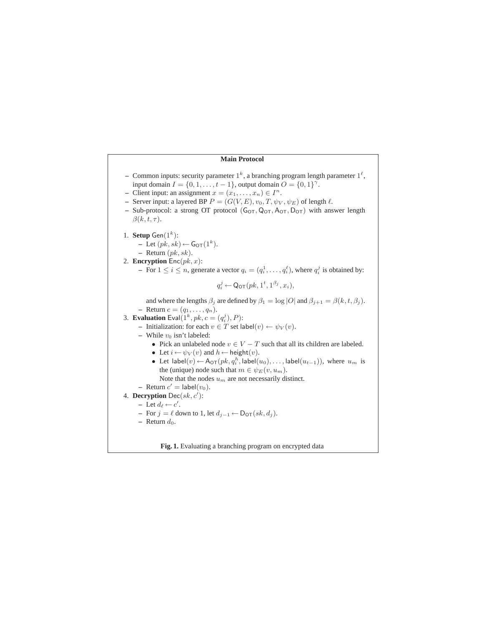# **Main Protocol** - Common inputs: security parameter  $1^k$ , a branching program length parameter  $1^\ell$ , input domain  $I = \{0, 1, ..., t - 1\}$ , output domain  $O = \{0, 1\}^{\gamma}$ . - Client input: an assignment  $x = (x_1, \ldots, x_n) \in I^n$ . **–** Server input: a layered BP  $P = (G(V, E), v_0, T, \psi_V, \psi_E)$  of length  $\ell$ . **–** Sub-protocol: a strong OT protocol (GOT, QOT, AOT, DOT) with answer length  $\beta(k, t, \tau)$ . 1. **Setup**  $Gen(1^k)$ :  $-$  Let  $(pk, sk) \leftarrow$  G<sub>OT</sub> $(1^k)$ . **–** Return (pk, sk). 2. **Encryption**  $Enc(pk, x)$ : **–** For  $1 \le i \le n$ , generate a vector  $q_i = (q_i^1, \ldots, q_i^\ell)$ , where  $q_i^j$  is obtained by:  $q_i^j \leftarrow \mathsf{Q}_\mathsf{OT}(pk, 1^t, 1^{\beta_j}, x_i),$ and where the lengths  $\beta_i$  are defined by  $\beta_1 = \log |O|$  and  $\beta_{i+1} = \beta(k, t, \beta_i)$ . **–** Return  $c = (q_1, ..., q_n)$ . 3. **Evaluation** Eval $(1^k, pk, c = (q_i^j), P)$ : **–** Initialization: for each  $v \in T$  set label $(v) \leftarrow \psi_V(v)$ . **–** While  $v_0$  isn't labeled: • Pick an unlabeled node  $v \in V - T$  such that all its children are labeled. • Let  $i \leftarrow \psi_V(v)$  and  $h \leftarrow \text{height}(v)$ . • Let label $(v) \leftarrow A_{\text{OT}}(pk, q_i^h, \text{label}(u_0), \dots, \text{label}(u_{t-1}))$ , where  $u_m$  is the (unique) node such that  $m \in \psi_E(v, u_m)$ . Note that the nodes  $u_m$  are not necessarily distinct.  $-$  Return  $c' =$  label $(v_0)$ . 4. **Decryption**  $Dec(sk, c')$ :  $-$  Let  $d_{\ell} \leftarrow c'$ . **–** For  $j = \ell$  down to 1, let  $d_{j-1}$  ← D<sub>OT</sub>(sk,  $d_j$ ).  $-$  Return  $d_0$ . **Fig. 1.** Evaluating a branching program on encrypted data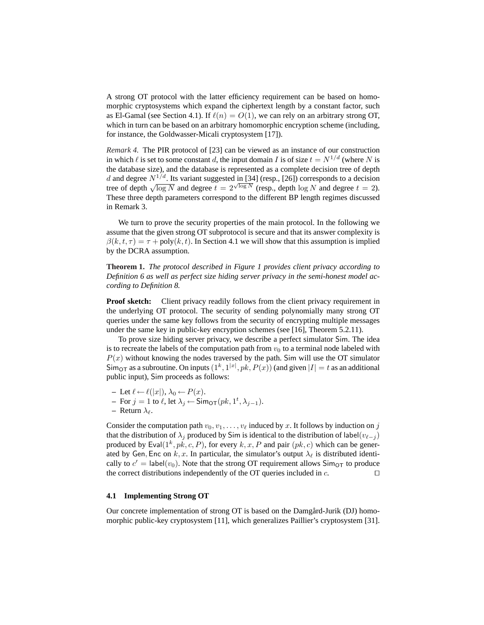A strong OT protocol with the latter efficiency requirement can be based on homomorphic cryptosystems which expand the ciphertext length by a constant factor, such as El-Gamal (see Section 4.1). If  $\ell(n) = O(1)$ , we can rely on an arbitrary strong OT, which in turn can be based on an arbitrary homomorphic encryption scheme (including, for instance, the Goldwasser-Micali cryptosystem [17]).

*Remark 4.* The PIR protocol of [23] can be viewed as an instance of our construction in which  $\ell$  is set to some constant d, the input domain I is of size  $t = N^{1/d}$  (where N is the database size), and the database is represented as a complete decision tree of depth d and degree  $N^{1/d}$ . Its variant suggested in [34] (resp., [26]) corresponds to a decision a and degree  $N \sim$  its variant suggested in [54] (resp., [20]) corresponds to a decision tree of depth  $\sqrt{\log N}$  and degree  $t = 2^{\sqrt{\log N}}$  (resp., depth  $\log N$  and degree  $t = 2$ ). These three depth parameters correspond to the different BP length regimes discussed in Remark 3.

We turn to prove the security properties of the main protocol. In the following we assume that the given strong OT subprotocol is secure and that its answer complexity is  $\beta(k, t, \tau) = \tau + \text{poly}(k, t)$ . In Section 4.1 we will show that this assumption is implied by the DCRA assumption.

**Theorem 1.** *The protocol described in Figure 1 provides client privacy according to Definition 6 as well as perfect size hiding server privacy in the semi-honest model according to Definition 8.*

**Proof sketch:** Client privacy readily follows from the client privacy requirement in the underlying OT protocol. The security of sending polynomially many strong OT queries under the same key follows from the security of encrypting multiple messages under the same key in public-key encryption schemes (see [16], Theorem 5.2.11).

To prove size hiding server privacy, we describe a perfect simulator Sim. The idea is to recreate the labels of the computation path from  $v_0$  to a terminal node labeled with  $P(x)$  without knowing the nodes traversed by the path. Sim will use the OT simulator Sim<sub>OT</sub> as a subroutine. On inputs  $(1^k, 1^{|x|}, pk, P(x))$  (and given  $|I| = t$  as an additional public input), Sim proceeds as follows:

- **−** Let  $\ell \leftarrow \ell(|x|), \lambda_0 \leftarrow P(x)$ .
- $-$  For  $j = 1$  to  $\ell$ , let  $\lambda_j \leftarrow \textsf{Sim}_{\textsf{OT}}(pk, 1^t, \lambda_{j-1}).$
- **–** Return  $\lambda_{\ell}$ .

Consider the computation path  $v_0, v_1, \ldots, v_\ell$  induced by x. It follows by induction on j that the distribution of  $\lambda_j$  produced by Sim is identical to the distribution of label( $v_{\ell-j}$ ) produced by Eval $(1^k, pk, c, P)$ , for every  $k, x, P$  and pair  $(pk, c)$  which can be generated by Gen, Enc on k, x. In particular, the simulator's output  $\lambda_\ell$  is distributed identically to  $c' = \text{label}(v_0)$ . Note that the strong OT requirement allows  $\text{Sim}_{\text{OT}}$  to produce the correct distributions independently of the OT queries included in  $c$ .

#### **4.1 Implementing Strong OT**

Our concrete implementation of strong OT is based on the Damgård-Jurik (DJ) homomorphic public-key cryptosystem [11], which generalizes Paillier's cryptosystem [31].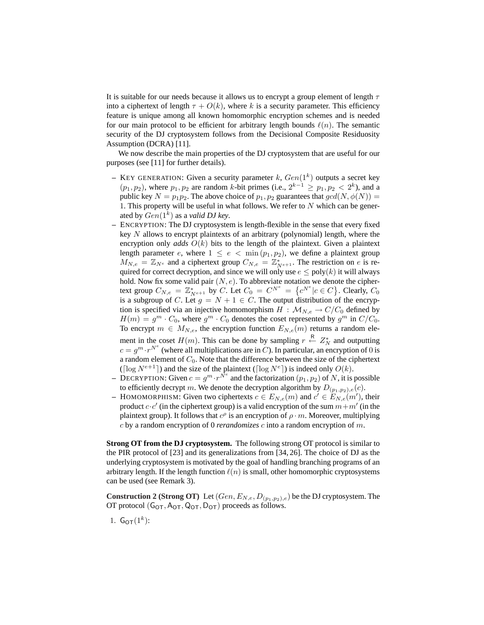It is suitable for our needs because it allows us to encrypt a group element of length  $\tau$ into a ciphertext of length  $\tau + O(k)$ , where k is a security parameter. This efficiency feature is unique among all known homomorphic encryption schemes and is needed for our main protocol to be efficient for arbitrary length bounds  $\ell(n)$ . The semantic security of the DJ cryptosystem follows from the Decisional Composite Residuosity Assumption (DCRA) [11].

We now describe the main properties of the DJ cryptosystem that are useful for our purposes (see [11] for further details).

- $-$  KEY GENERATION: Given a security parameter  $k$ ,  $Gen(1<sup>k</sup>)$  outputs a secret key  $(p_1, p_2)$ , where  $p_1, p_2$  are random k-bit primes (i.e.,  $2^{k-1} \ge p_1, p_2 < 2^k$ ), and a public key  $N = p_1p_2$ . The above choice of  $p_1, p_2$  guarantees that  $gcd(N, \phi(N))$  = 1. This property will be useful in what follows. We refer to  $N$  which can be generated by  $Gen(1^k)$  as a *valid DJ key*.
- **–** ENCRYPTION: The DJ cryptosystem is length-flexible in the sense that every fixed key  $N$  allows to encrypt plaintexts of an arbitrary (polynomial) length, where the encryption only *adds*  $O(k)$  bits to the length of the plaintext. Given a plaintext length parameter e, where  $1 \leq e < \min(p_1, p_2)$ , we define a plaintext group  $M_{N,e} = \mathbb{Z}_{N^e}$  and a ciphertext group  $C_{N,e} = \mathbb{Z}_{N^{e+1}}^*$ . The restriction on e is required for correct decryption, and since we will only use  $e \leq \text{poly}(k)$  it will always hold. Now fix some valid pair  $(N, e)$ . To abbreviate notation we denote the ciphertext group  $C_{N,e} = \mathbb{Z}_{N^{e+1}}^*$  by C. Let  $C_0 = C^{N^e} = \{c^{N^e} | c \in C\}$ . Clearly,  $C_0$ is a subgroup of C. Let  $g = N + 1 \in C$ . The output distribution of the encryption is specified via an injective homomorphism  $H : \mathcal{M}_{N,e} \to C/C_0$  defined by  $H(m) = g^m \cdot C_0$ , where  $g^m \cdot C_0$  denotes the coset represented by  $g^m$  in  $C/C_0$ . To encrypt  $m \in M_{N,e}$ , the encryption function  $E_{N,e}(m)$  returns a random element in the coset  $H(m)$ . This can be done by sampling  $r \stackrel{R}{\leftarrow} Z_N^*$  and outputting  $c = g^m \cdot r^{N^e}$  (where all multiplications are in C). In particular, an encryption of 0 is a random element of  $C_0$ . Note that the difference between the size of the ciphertext ( $\lceil \log N^{e+1} \rceil$ ) and the size of the plaintext ( $\lceil \log N^e \rceil$ ) is indeed only  $O(k)$ .
- DECRYPTION: Given  $c = g^m \cdot r^{N^e}$  and the factorization  $(p_1, p_2)$  of N, it is possible to efficiently decrypt m. We denote the decryption algorithm by  $D_{(p_1,p_2),e}(c)$ .
- **–** HOMOMORPHISM: Given two ciphertexts  $c \in E_{N,e}(m)$  and  $c' \in \overline{E_{N,e}}(m')$ , their product  $c \cdot c'$  (in the ciphertext group) is a valid encryption of the sum  $m+m'$  (in the plaintext group). It follows that  $c^{\rho}$  is an encryption of  $\rho \cdot m$ . Moreover, multiplying c by a random encryption of 0 *rerandomizes* c into a random encryption of m.

**Strong OT from the DJ cryptosystem.** The following strong OT protocol is similar to the PIR protocol of [23] and its generalizations from [34, 26]. The choice of DJ as the underlying cryptosystem is motivated by the goal of handling branching programs of an arbitrary length. If the length function  $\ell(n)$  is small, other homomorphic cryptosystems can be used (see Remark 3).

**Construction 2 (Strong OT)** Let  $(Gen, E_{N,e}, D_{(p_1,p_2),e})$  be the DJ cryptosystem. The OT protocol  $(G_{\text{OT}}, A_{\text{OT}}, Q_{\text{OT}}, D_{\text{OT}})$  proceeds as follows.

1.  $G_{\text{OT}}(1^k)$ :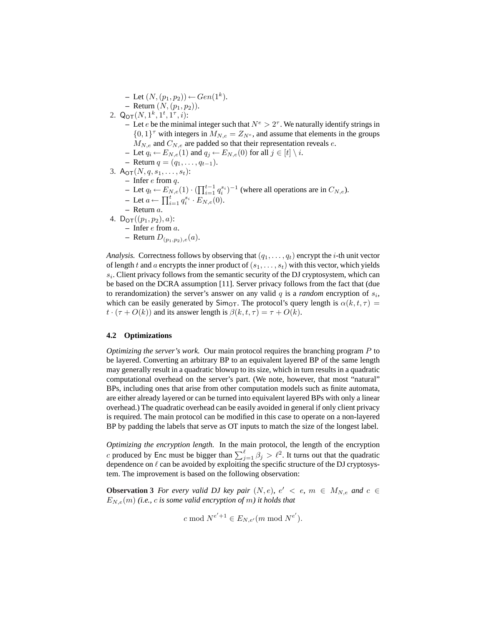$-$  Let  $(N, (p_1, p_2)) \leftarrow Gen(1^k)$ .

- $-$  Return  $(N,(p_1,p_2)).$
- 2. Q<sub>OT</sub> $(N, 1^k, 1^t, 1^{\tau}, i)$ :
	- Let e be the minimal integer such that  $N^e > 2^{\tau}$ . We naturally identify strings in  $\{0,1\}^{\tau}$  with integers in  $M_{N,e} = Z_{N,e}$ , and assume that elements in the groups  $M_{N,e}$  and  $C_{N,e}$  are padded so that their representation reveals e.
	- **−** Let  $q_i \leftarrow E_{N,e}(1)$  and  $q_j \leftarrow E_{N,e}(0)$  for all  $j \in [t] \setminus i$ .
	- $-$  Return  $q = (q_1, \ldots, q_{t-1}).$
- 3.  $A_{\text{OT}}(N, q, s_1, \ldots, s_t)$ : **–** Infer e from q.
	- − Inter e from q.<br>
	− Let  $q_t \leftarrow E_{N,e}(1) \cdot (\prod_{i=1}^{t-1} q_i^{s_i})^{-1}$  (where all operations are in  $C_{N,e}$ ).
	- **−** Let  $a \leftarrow \prod_{i=1}^{t} q_i^{s_i} \cdot E_{N,e}(0)$ .

**–** Return a.

- 4.  $D_{OT}((p_1, p_2), a)$ :
	- **–** Infer e from a.
	- **–** Return  $D_{(p_1,p_2),e}(a)$ .

*Analysis.* Correctness follows by observing that  $(q_1, \ldots, q_t)$  encrypt the *i*-th unit vector of length t and a encrypts the inner product of  $(s_1, \ldots, s_t)$  with this vector, which yields  $s_i$ . Client privacy follows from the semantic security of the DJ cryptosystem, which can be based on the DCRA assumption [11]. Server privacy follows from the fact that (due to rerandomization) the server's answer on any valid  $q$  is a *random* encryption of  $s_i$ , which can be easily generated by  $\text{Sim}_{\text{OT}}$ . The protocol's query length is  $\alpha(k, t, \tau) =$  $t \cdot (\tau + O(k))$  and its answer length is  $\beta(k, t, \tau) = \tau + O(k)$ .

#### **4.2 Optimizations**

*Optimizing the server's work.* Our main protocol requires the branching program P to be layered. Converting an arbitrary BP to an equivalent layered BP of the same length may generally result in a quadratic blowup to its size, which in turn results in a quadratic computational overhead on the server's part. (We note, however, that most "natural" BPs, including ones that arise from other computation models such as finite automata, are either already layered or can be turned into equivalent layered BPs with only a linear overhead.) The quadratic overhead can be easily avoided in general if only client privacy is required. The main protocol can be modified in this case to operate on a non-layered BP by padding the labels that serve as OT inputs to match the size of the longest label.

*Optimizing the encryption length.* In the main protocol, the length of the encryption *c* produced by Enc must be bigger than  $\sum_{j=1}^{\ell} \beta_j > \ell^2$ . It turns out that the quadratic dependence on  $\ell$  can be avoided by exploiting the specific structure of the DJ cryptosystem. The improvement is based on the following observation:

**Observation 3** For every valid DJ key pair  $(N, e)$ ,  $e' < e$ ,  $m \in M_{N,e}$  and  $c \in$  $E_{N,e}(m)$  *(i.e., c is some valid encryption of m) it holds that* 

$$
c \bmod N^{e'+1} \in E_{N,e'}(m \bmod N^{e'}).
$$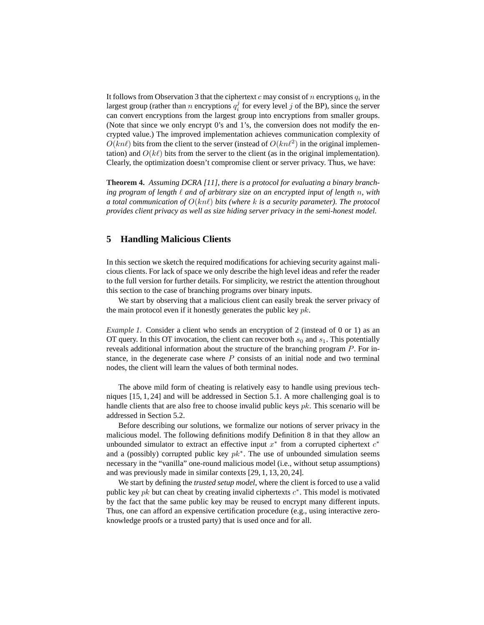It follows from Observation 3 that the ciphertext  $c$  may consist of  $n$  encryptions  $q_i$  in the largest group (rather than *n* encryptions  $q_i^j$  for every level *j* of the BP), since the server can convert encryptions from the largest group into encryptions from smaller groups. (Note that since we only encrypt 0's and 1's, the conversion does not modify the encrypted value.) The improved implementation achieves communication complexity of  $O(kn\ell)$  bits from the client to the server (instead of  $O(kn\ell^2)$  in the original implementation) and  $O(k\ell)$  bits from the server to the client (as in the original implementation). Clearly, the optimization doesn't compromise client or server privacy. Thus, we have:

**Theorem 4.** *Assuming DCRA [11], there is a protocol for evaluating a binary branching program of length*  $\ell$  *and of arbitrary size on an encrypted input of length* n, with *a total communication of*  $O(kn\ell)$  *bits (where* k *is a security parameter). The protocol provides client privacy as well as size hiding server privacy in the semi-honest model.*

# **5 Handling Malicious Clients**

In this section we sketch the required modifications for achieving security against malicious clients. For lack of space we only describe the high level ideas and refer the reader to the full version for further details. For simplicity, we restrict the attention throughout this section to the case of branching programs over binary inputs.

We start by observing that a malicious client can easily break the server privacy of the main protocol even if it honestly generates the public key  $pk$ .

*Example 1.* Consider a client who sends an encryption of 2 (instead of 0 or 1) as an OT query. In this OT invocation, the client can recover both  $s_0$  and  $s_1$ . This potentially reveals additional information about the structure of the branching program P. For instance, in the degenerate case where  $P$  consists of an initial node and two terminal nodes, the client will learn the values of both terminal nodes.

The above mild form of cheating is relatively easy to handle using previous techniques [15, 1, 24] and will be addressed in Section 5.1. A more challenging goal is to handle clients that are also free to choose invalid public keys  $pk$ . This scenario will be addressed in Section 5.2.

Before describing our solutions, we formalize our notions of server privacy in the malicious model. The following definitions modify Definition 8 in that they allow an unbounded simulator to extract an effective input  $x^*$  from a corrupted ciphertext  $c^*$ and a (possibly) corrupted public key  $pk^*$ . The use of unbounded simulation seems necessary in the "vanilla" one-round malicious model (i.e., without setup assumptions) and was previously made in similar contexts [29, 1, 13, 20, 24].

We start by defining the *trusted setup model*, where the client is forced to use a valid public key  $pk$  but can cheat by creating invalid ciphertexts  $c^*$ . This model is motivated by the fact that the same public key may be reused to encrypt many different inputs. Thus, one can afford an expensive certification procedure (e.g., using interactive zeroknowledge proofs or a trusted party) that is used once and for all.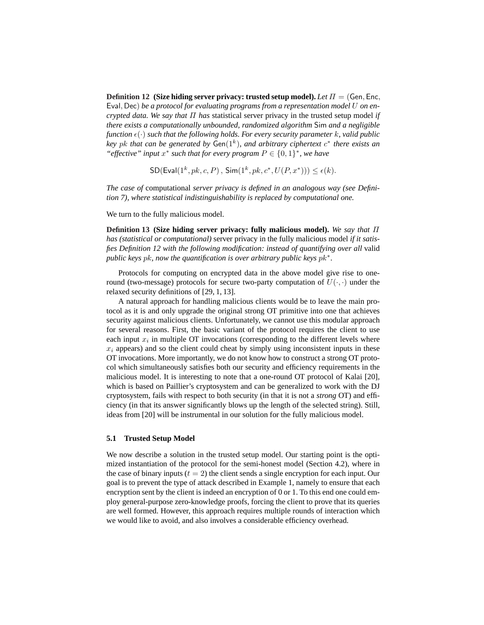**Definition 12 (Size hiding server privacy: trusted setup model).** Let  $\Pi = (\mathsf{Gen}, \mathsf{Enc}, \mathsf{Enc})$ Eval, Dec) *be a protocol for evaluating programs from a representation model* U *on encrypted data. We say that* Π *has* statistical server privacy in the trusted setup model *if there exists a computationally unbounded, randomized algorithm* Sim *and a negligible function*  $\epsilon(\cdot)$  *such that the following holds. For every security parameter* k, valid public  $\ell$  key pk that can be generated by  $\mathsf{Gen}(1^k)$ , and arbitrary ciphertext  $c^*$  there exists an "*effective*" *input*  $x^*$  *such that for every program*  $P \in \{0, 1\}^*$ *, we have* 

$$
SD(Eval(1k, pk, c, P), Sim(1k, pk, c*, U(P, x*))) \le \epsilon(k).
$$

*The case of* computational *server privacy is defined in an analogous way (see Definition 7), where statistical indistinguishability is replaced by computational one.*

We turn to the fully malicious model.

**Definition 13 (Size hiding server privacy: fully malicious model).** *We say that* Π *has (statistical or computational)* server privacy in the fully malicious model *if it satisfies Definition 12 with the following modification: instead of quantifying over all valid public keys* pk*, now the quantification is over arbitrary public keys* pk<sup>∗</sup> *.*

Protocols for computing on encrypted data in the above model give rise to oneround (two-message) protocols for secure two-party computation of  $U(\cdot, \cdot)$  under the relaxed security definitions of [29, 1, 13].

A natural approach for handling malicious clients would be to leave the main protocol as it is and only upgrade the original strong OT primitive into one that achieves security against malicious clients. Unfortunately, we cannot use this modular approach for several reasons. First, the basic variant of the protocol requires the client to use each input  $x_i$  in multiple OT invocations (corresponding to the different levels where  $x_i$  appears) and so the client could cheat by simply using inconsistent inputs in these OT invocations. More importantly, we do not know how to construct a strong OT protocol which simultaneously satisfies both our security and efficiency requirements in the malicious model. It is interesting to note that a one-round OT protocol of Kalai [20], which is based on Paillier's cryptosystem and can be generalized to work with the DJ cryptosystem, fails with respect to both security (in that it is not a *strong* OT) and efficiency (in that its answer significantly blows up the length of the selected string). Still, ideas from [20] will be instrumental in our solution for the fully malicious model.

## **5.1 Trusted Setup Model**

We now describe a solution in the trusted setup model. Our starting point is the optimized instantiation of the protocol for the semi-honest model (Section 4.2), where in the case of binary inputs ( $t = 2$ ) the client sends a single encryption for each input. Our goal is to prevent the type of attack described in Example 1, namely to ensure that each encryption sent by the client is indeed an encryption of 0 or 1. To this end one could employ general-purpose zero-knowledge proofs, forcing the client to prove that its queries are well formed. However, this approach requires multiple rounds of interaction which we would like to avoid, and also involves a considerable efficiency overhead.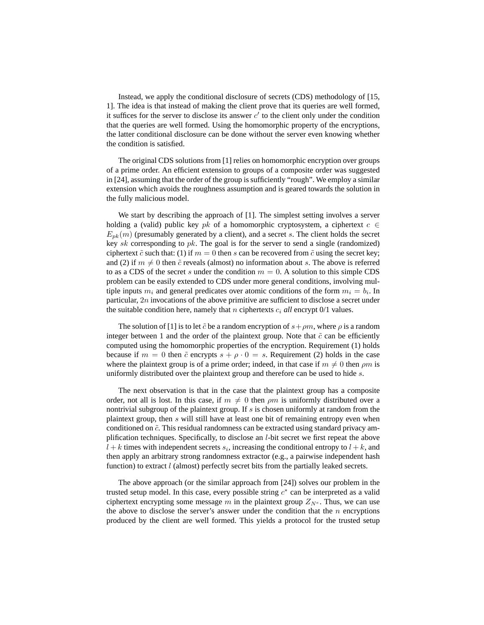Instead, we apply the conditional disclosure of secrets (CDS) methodology of [15, 1]. The idea is that instead of making the client prove that its queries are well formed, it suffices for the server to disclose its answer  $c'$  to the client only under the condition that the queries are well formed. Using the homomorphic property of the encryptions, the latter conditional disclosure can be done without the server even knowing whether the condition is satisfied.

The original CDS solutions from [1] relies on homomorphic encryption over groups of a prime order. An efficient extension to groups of a composite order was suggested in [24], assuming that the order of the group is sufficiently "rough". We employ a similar extension which avoids the roughness assumption and is geared towards the solution in the fully malicious model.

We start by describing the approach of [1]. The simplest setting involves a server holding a (valid) public key pk of a homomorphic cryptosystem, a ciphertext  $c \in$  $E_{pk}(m)$  (presumably generated by a client), and a secret s. The client holds the secret key sk corresponding to  $pk$ . The goal is for the server to send a single (randomized) ciphertext  $\tilde{c}$  such that: (1) if  $m = 0$  then s can be recovered from  $\tilde{c}$  using the secret key; and (2) if  $m \neq 0$  then  $\tilde{c}$  reveals (almost) no information about s. The above is referred to as a CDS of the secret s under the condition  $m = 0$ . A solution to this simple CDS problem can be easily extended to CDS under more general conditions, involving multiple inputs  $m_i$  and general predicates over atomic conditions of the form  $m_i = b_i$ . In particular, 2n invocations of the above primitive are sufficient to disclose a secret under the suitable condition here, namely that *n* ciphertexts  $c_i$  *all* encrypt  $0/1$  values.

The solution of [1] is to let  $\tilde{c}$  be a random encryption of  $s+\rho m$ , where  $\rho$  is a random integer between 1 and the order of the plaintext group. Note that  $\tilde{c}$  can be efficiently computed using the homomorphic properties of the encryption. Requirement (1) holds because if  $m = 0$  then  $\tilde{c}$  encrypts  $s + \rho \cdot 0 = s$ . Requirement (2) holds in the case where the plaintext group is of a prime order; indeed, in that case if  $m \neq 0$  then  $\rho m$  is uniformly distributed over the plaintext group and therefore can be used to hide s.

The next observation is that in the case that the plaintext group has a composite order, not all is lost. In this case, if  $m \neq 0$  then  $\rho m$  is uniformly distributed over a nontrivial subgroup of the plaintext group. If s is chosen uniformly at random from the plaintext group, then s will still have at least one bit of remaining entropy even when conditioned on  $\tilde{c}$ . This residual randomness can be extracted using standard privacy amplification techniques. Specifically, to disclose an l-bit secret we first repeat the above  $l + k$  times with independent secrets  $s_i$ , increasing the conditional entropy to  $l + k$ , and then apply an arbitrary strong randomness extractor (e.g., a pairwise independent hash function) to extract  $l$  (almost) perfectly secret bits from the partially leaked secrets.

The above approach (or the similar approach from [24]) solves our problem in the trusted setup model. In this case, every possible string  $c^*$  can be interpreted as a valid ciphertext encrypting some message m in the plaintext group  $Z_{N^e}$ . Thus, we can use the above to disclose the server's answer under the condition that the  $n$  encryptions produced by the client are well formed. This yields a protocol for the trusted setup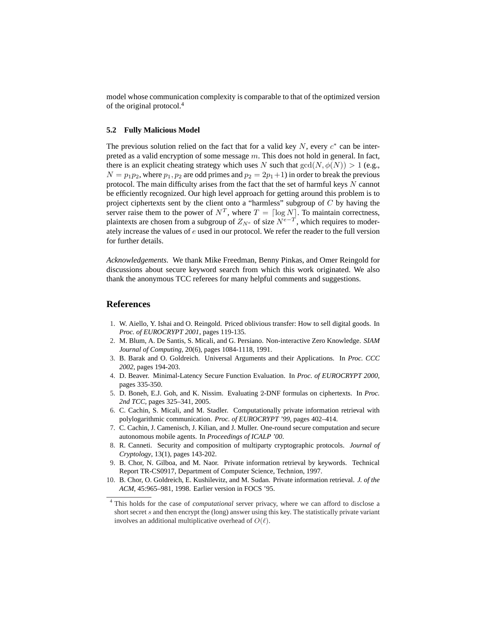model whose communication complexity is comparable to that of the optimized version of the original protocol.<sup>4</sup>

#### **5.2 Fully Malicious Model**

The previous solution relied on the fact that for a valid key  $N$ , every  $c^*$  can be interpreted as a valid encryption of some message  $m$ . This does not hold in general. In fact, there is an explicit cheating strategy which uses N such that  $gcd(N, \phi(N)) > 1$  (e.g.,  $N = p_1p_2$ , where  $p_1, p_2$  are odd primes and  $p_2 = 2p_1 + 1$  in order to break the previous protocol. The main difficulty arises from the fact that the set of harmful keys  $N$  cannot be efficiently recognized. Our high level approach for getting around this problem is to project ciphertexts sent by the client onto a "harmless" subgroup of  $C$  by having the server raise them to the power of  $N^T$ , where  $T = \lceil \log N \rceil$ . To maintain correctness, plaintexts are chosen from a subgroup of  $Z_{N}$ e of size  $N^{e-T}$ , which requires to moderately increase the values of  $e$  used in our protocol. We refer the reader to the full version for further details.

*Acknowledgements.* We thank Mike Freedman, Benny Pinkas, and Omer Reingold for discussions about secure keyword search from which this work originated. We also thank the anonymous TCC referees for many helpful comments and suggestions.

## **References**

- 1. W. Aiello, Y. Ishai and O. Reingold. Priced oblivious transfer: How to sell digital goods. In *Proc. of EUROCRYPT 2001*, pages 119-135.
- 2. M. Blum, A. De Santis, S. Micali, and G. Persiano. Non-interactive Zero Knowledge. *SIAM Journal of Computing*, 20(6), pages 1084-1118, 1991.
- 3. B. Barak and O. Goldreich. Universal Arguments and their Applications. In *Proc. CCC 2002*, pages 194-203.
- 4. D. Beaver. Minimal-Latency Secure Function Evaluation. In *Proc. of EUROCRYPT 2000*, pages 335-350.
- 5. D. Boneh, E.J. Goh, and K. Nissim. Evaluating 2-DNF formulas on ciphertexts. In *Proc. 2nd TCC*, pages 325–341, 2005.
- 6. C. Cachin, S. Micali, and M. Stadler. Computationally private information retrieval with polylogarithmic communication. *Proc. of EUROCRYPT '99*, pages 402–414.
- 7. C. Cachin, J. Camenisch, J. Kilian, and J. Muller. One-round secure computation and secure autonomous mobile agents. In *Proceedings of ICALP '00*.
- 8. R. Canneti. Security and composition of multiparty cryptographic protocols. *Journal of Cryptology*, 13(1), pages 143-202.
- 9. B. Chor, N. Gilboa, and M. Naor. Private information retrieval by keywords. Technical Report TR-CS0917, Department of Computer Science, Technion, 1997.
- 10. B. Chor, O. Goldreich, E. Kushilevitz, and M. Sudan. Private information retrieval. *J. of the ACM*, 45:965–981, 1998. Earlier version in FOCS '95.

<sup>4</sup> This holds for the case of *computational* server privacy, where we can afford to disclose a short secret s and then encrypt the (long) answer using this key. The statistically private variant involves an additional multiplicative overhead of  $O(\ell)$ .